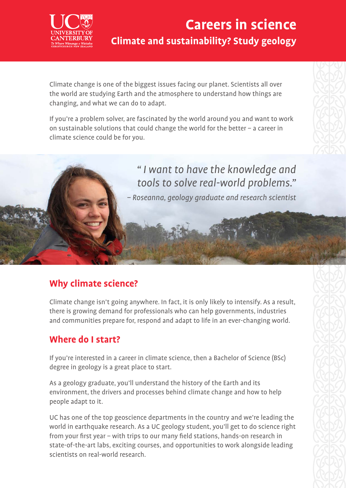

## **Careers in science Climate and sustainability? Study geology**

Climate change is one of the biggest issues facing our planet. Scientists all over the world are studying Earth and the atmosphere to understand how things are changing, and what we can do to adapt.

If you're a problem solver, are fascinated by the world around you and want to work on sustainable solutions that could change the world for the better – a career in climate science could be for you.



### **Why climate science?**

Climate change isn't going anywhere. In fact, it is only likely to intensify. As a result, there is growing demand for professionals who can help governments, industries and communities prepare for, respond and adapt to life in an ever-changing world.

#### **Where do I start?**

If you're interested in a career in climate science, then a Bachelor of Science (BSc) degree in geology is a great place to start.

As a geology graduate, you'll understand the history of the Earth and its environment, the drivers and processes behind climate change and how to help people adapt to it.

UC has one of the top geoscience departments in the country and we're leading the world in earthquake research. As a UC geology student, you'll get to do science right from your first year – with trips to our many field stations, hands-on research in state-of-the-art labs, exciting courses, and opportunities to work alongside leading scientists on real-world research.